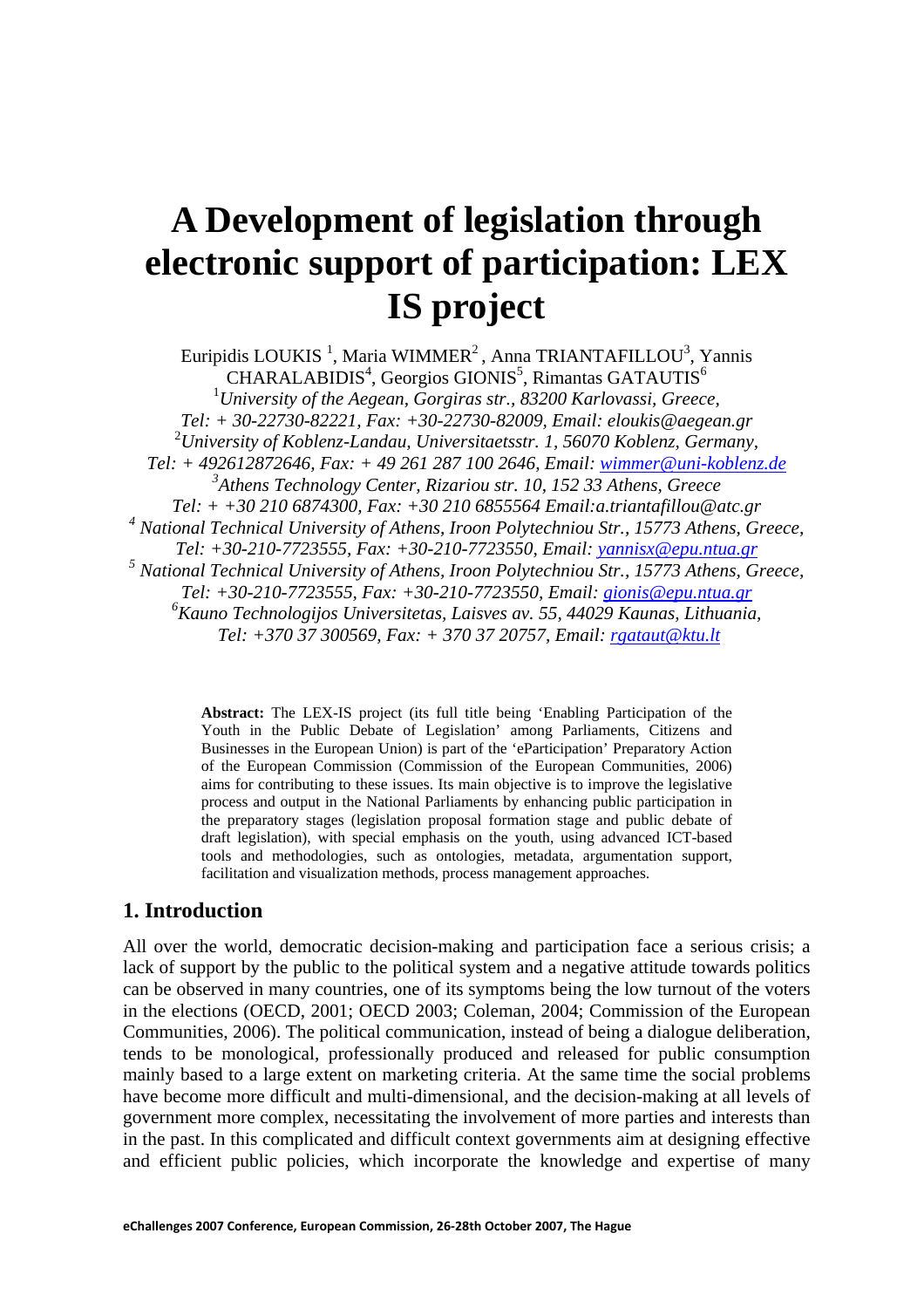# **A Development of legislation through electronic support of participation: LEX IS project**

Euripidis LOUKIS<sup>1</sup>, Maria WIMMER<sup>2</sup>, Anna TRIANTAFILLOU<sup>3</sup>, Yannis  $CHARALABIDIS<sup>4</sup>$ , Georgios GIONIS<sup>5</sup>, Rimantas GATAUTIS<sup>6</sup> 1 *University of the Aegean, Gorgiras str., 83200 Karlovassi, Greece, Tel: + 30-22730-82221, Fax: +30-22730-82009, Email: eloukis@aegean.gr*  2 *University of Koblenz-Landau, Universitaetsstr. 1, 56070 Koblenz, Germany, Tel: + 492612872646, Fax: + 49 261 287 100 2646, Email: wimmer@uni-koblenz.de 3 Athens Technology Center, Rizariou str. 10, 152 33 Athens, Greece Tel: + +30 210 6874300, Fax: +30 210 6855564 Email:a.triantafillou@atc.gr*  <sup>4</sup> National Technical University of Athens, Iroon Polytechniou Str., 15773 Athens, Greece, *Tel: +30-210-7723555, Fax: +30-210-7723550, Email: yannisx@epu.ntua.gr* <sup>5</sup> National Technical University of Athens, Iroon Polytechniou Str., 15773 Athens, Greece, *Tel: +30-210-7723555, Fax: +30-210-7723550, Email: gionis@epu.ntua.gr 6 Kauno Technologijos Universitetas, Laisves av. 55, 44029 Kaunas, Lithuania, Tel: +370 37 300569, Fax: + 370 37 20757, Email: rgataut@ktu.lt* 

> **Abstract:** The LEX-IS project (its full title being 'Enabling Participation of the Youth in the Public Debate of Legislation' among Parliaments, Citizens and Businesses in the European Union) is part of the 'eParticipation' Preparatory Action of the European Commission (Commission of the European Communities, 2006) aims for contributing to these issues. Its main objective is to improve the legislative process and output in the National Parliaments by enhancing public participation in the preparatory stages (legislation proposal formation stage and public debate of draft legislation), with special emphasis on the youth, using advanced ICT-based tools and methodologies, such as ontologies, metadata, argumentation support, facilitation and visualization methods, process management approaches.

#### **1. Introduction**

All over the world, democratic decision-making and participation face a serious crisis; a lack of support by the public to the political system and a negative attitude towards politics can be observed in many countries, one of its symptoms being the low turnout of the voters in the elections (OECD, 2001; OECD 2003; Coleman, 2004; Commission of the European Communities, 2006). The political communication, instead of being a dialogue deliberation, tends to be monological, professionally produced and released for public consumption mainly based to a large extent on marketing criteria. At the same time the social problems have become more difficult and multi-dimensional, and the decision-making at all levels of government more complex, necessitating the involvement of more parties and interests than in the past. In this complicated and difficult context governments aim at designing effective and efficient public policies, which incorporate the knowledge and expertise of many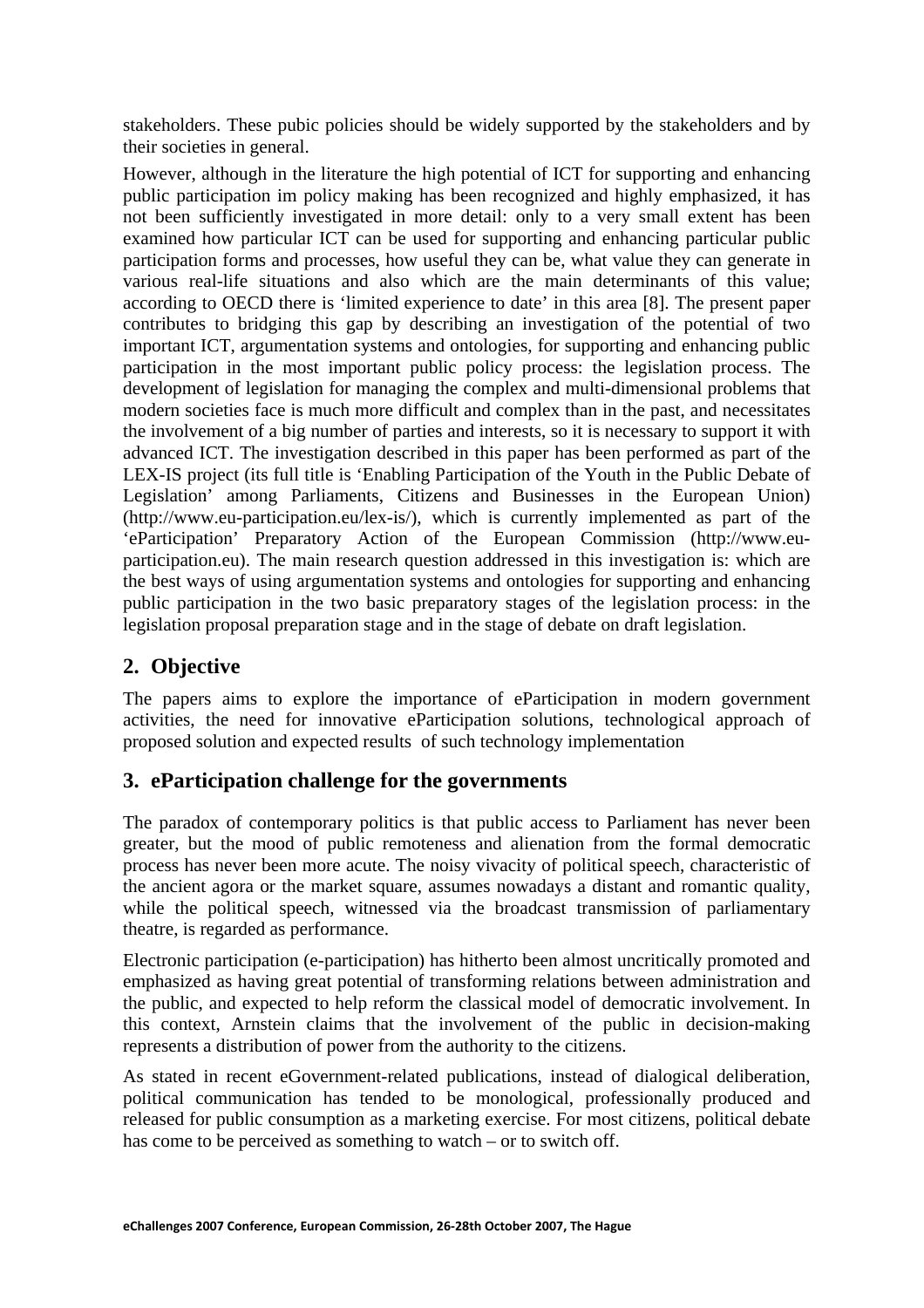stakeholders. These pubic policies should be widely supported by the stakeholders and by their societies in general.

However, although in the literature the high potential of ICT for supporting and enhancing public participation im policy making has been recognized and highly emphasized, it has not been sufficiently investigated in more detail: only to a very small extent has been examined how particular ICT can be used for supporting and enhancing particular public participation forms and processes, how useful they can be, what value they can generate in various real-life situations and also which are the main determinants of this value; according to OECD there is 'limited experience to date' in this area [8]. The present paper contributes to bridging this gap by describing an investigation of the potential of two important ICT, argumentation systems and ontologies, for supporting and enhancing public participation in the most important public policy process: the legislation process. The development of legislation for managing the complex and multi-dimensional problems that modern societies face is much more difficult and complex than in the past, and necessitates the involvement of a big number of parties and interests, so it is necessary to support it with advanced ICT. The investigation described in this paper has been performed as part of the LEX-IS project (its full title is 'Enabling Participation of the Youth in the Public Debate of Legislation' among Parliaments, Citizens and Businesses in the European Union) (http://www.eu-participation.eu/lex-is/), which is currently implemented as part of the 'eParticipation' Preparatory Action of the European Commission (http://www.euparticipation.eu). The main research question addressed in this investigation is: which are the best ways of using argumentation systems and ontologies for supporting and enhancing public participation in the two basic preparatory stages of the legislation process: in the legislation proposal preparation stage and in the stage of debate on draft legislation.

## **2. Objective**

The papers aims to explore the importance of eParticipation in modern government activities, the need for innovative eParticipation solutions, technological approach of proposed solution and expected results of such technology implementation

### **3. eParticipation challenge for the governments**

The paradox of contemporary politics is that public access to Parliament has never been greater, but the mood of public remoteness and alienation from the formal democratic process has never been more acute. The noisy vivacity of political speech, characteristic of the ancient agora or the market square, assumes nowadays a distant and romantic quality, while the political speech, witnessed via the broadcast transmission of parliamentary theatre, is regarded as performance.

Electronic participation (e-participation) has hitherto been almost uncritically promoted and emphasized as having great potential of transforming relations between administration and the public, and expected to help reform the classical model of democratic involvement. In this context, Arnstein claims that the involvement of the public in decision-making represents a distribution of power from the authority to the citizens.

As stated in recent eGovernment-related publications, instead of dialogical deliberation, political communication has tended to be monological, professionally produced and released for public consumption as a marketing exercise. For most citizens, political debate has come to be perceived as something to watch – or to switch off.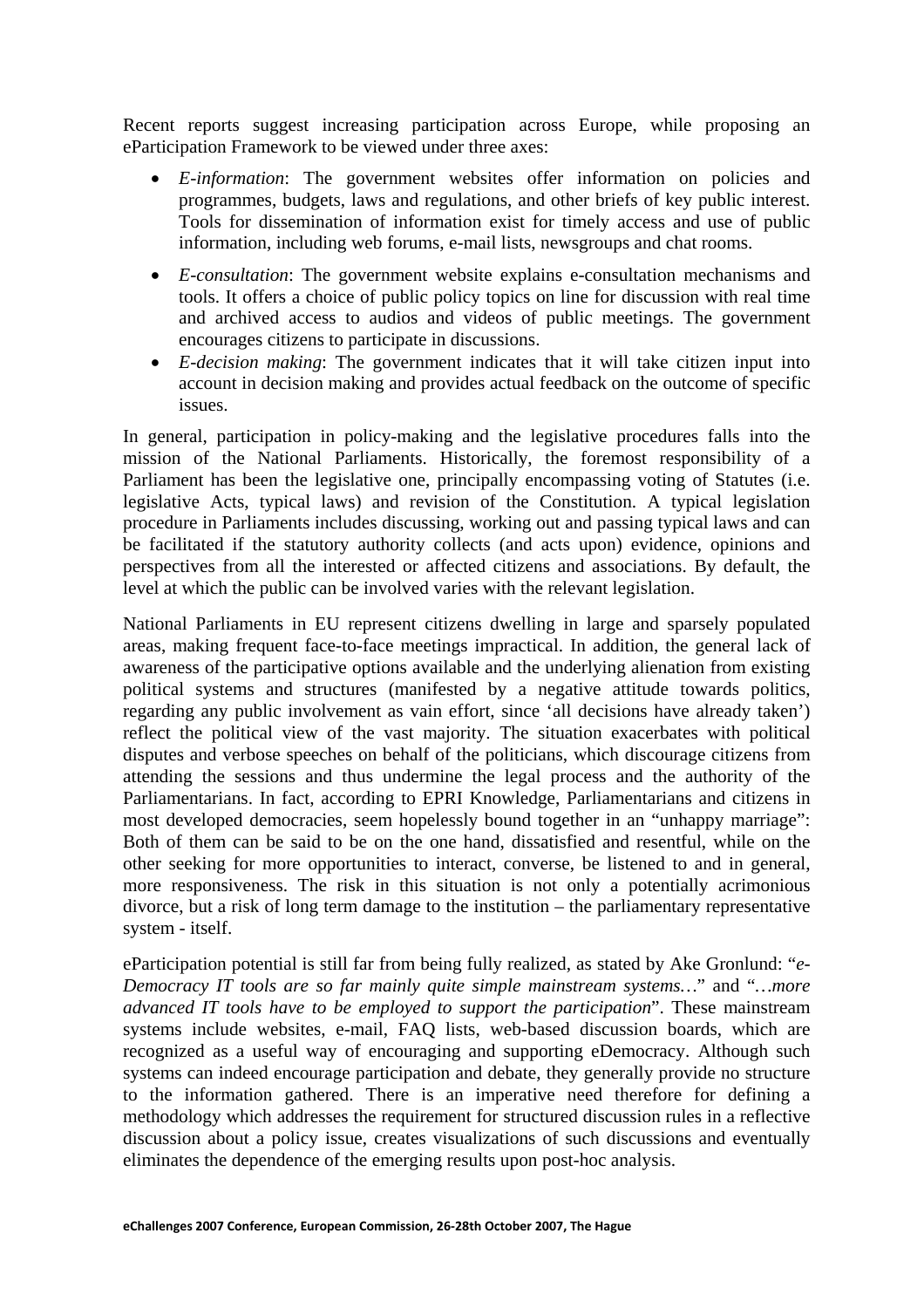Recent reports suggest increasing participation across Europe, while proposing an eParticipation Framework to be viewed under three axes:

- *E-information*: The government websites offer information on policies and programmes, budgets, laws and regulations, and other briefs of key public interest. Tools for dissemination of information exist for timely access and use of public information, including web forums, e-mail lists, newsgroups and chat rooms.
- *E-consultation*: The government website explains e-consultation mechanisms and tools. It offers a choice of public policy topics on line for discussion with real time and archived access to audios and videos of public meetings. The government encourages citizens to participate in discussions.
- *E-decision making*: The government indicates that it will take citizen input into account in decision making and provides actual feedback on the outcome of specific issues.

In general, participation in policy-making and the legislative procedures falls into the mission of the National Parliaments. Historically, the foremost responsibility of a Parliament has been the legislative one, principally encompassing voting of Statutes (i.e. legislative Acts, typical laws) and revision of the Constitution. A typical legislation procedure in Parliaments includes discussing, working out and passing typical laws and can be facilitated if the statutory authority collects (and acts upon) evidence, opinions and perspectives from all the interested or affected citizens and associations. By default, the level at which the public can be involved varies with the relevant legislation.

National Parliaments in EU represent citizens dwelling in large and sparsely populated areas, making frequent face-to-face meetings impractical. In addition, the general lack of awareness of the participative options available and the underlying alienation from existing political systems and structures (manifested by a negative attitude towards politics, regarding any public involvement as vain effort, since 'all decisions have already taken') reflect the political view of the vast majority. The situation exacerbates with political disputes and verbose speeches on behalf of the politicians, which discourage citizens from attending the sessions and thus undermine the legal process and the authority of the Parliamentarians. In fact, according to EPRI Knowledge, Parliamentarians and citizens in most developed democracies, seem hopelessly bound together in an "unhappy marriage": Both of them can be said to be on the one hand, dissatisfied and resentful, while on the other seeking for more opportunities to interact, converse, be listened to and in general, more responsiveness. The risk in this situation is not only a potentially acrimonious divorce, but a risk of long term damage to the institution – the parliamentary representative system - itself.

eParticipation potential is still far from being fully realized, as stated by Ake Gronlund: "*e-Democracy IT tools are so far mainly quite simple mainstream systems…*" and "*…more advanced IT tools have to be employed to support the participation*". These mainstream systems include websites, e-mail, FAQ lists, web-based discussion boards, which are recognized as a useful way of encouraging and supporting eDemocracy. Although such systems can indeed encourage participation and debate, they generally provide no structure to the information gathered. There is an imperative need therefore for defining a methodology which addresses the requirement for structured discussion rules in a reflective discussion about a policy issue, creates visualizations of such discussions and eventually eliminates the dependence of the emerging results upon post-hoc analysis.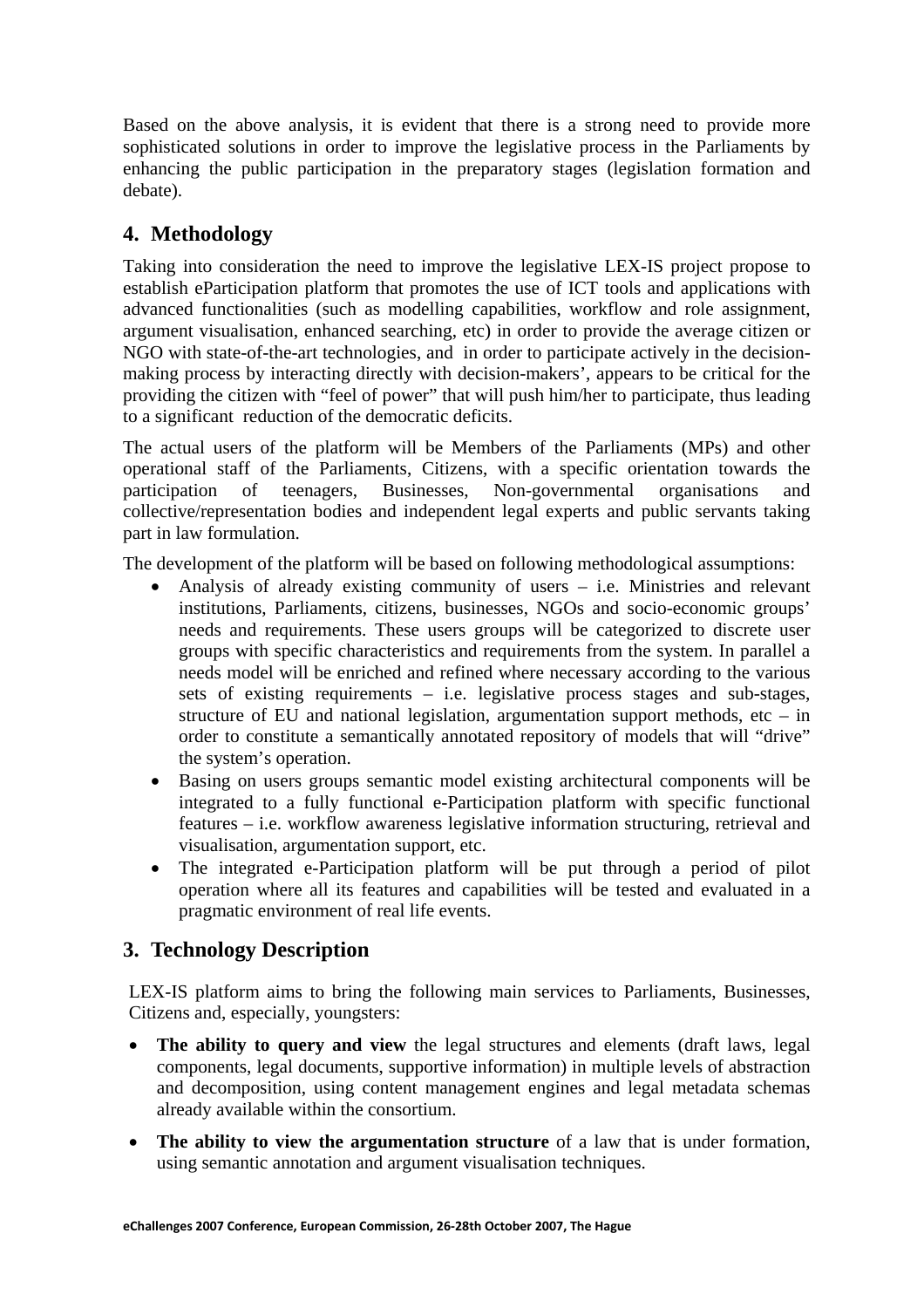Based on the above analysis, it is evident that there is a strong need to provide more sophisticated solutions in order to improve the legislative process in the Parliaments by enhancing the public participation in the preparatory stages (legislation formation and debate).

# **4. Methodology**

Taking into consideration the need to improve the legislative LEX-IS project propose to establish eParticipation platform that promotes the use of ICT tools and applications with advanced functionalities (such as modelling capabilities, workflow and role assignment, argument visualisation, enhanced searching, etc) in order to provide the average citizen or NGO with state-of-the-art technologies, and in order to participate actively in the decisionmaking process by interacting directly with decision-makers', appears to be critical for the providing the citizen with "feel of power" that will push him/her to participate, thus leading to a significant reduction of the democratic deficits.

The actual users of the platform will be Members of the Parliaments (MPs) and other operational staff of the Parliaments, Citizens, with a specific orientation towards the participation of teenagers, Businesses, Non-governmental organisations and collective/representation bodies and independent legal experts and public servants taking part in law formulation.

The development of the platform will be based on following methodological assumptions:

- Analysis of already existing community of users i.e. Ministries and relevant institutions, Parliaments, citizens, businesses, NGOs and socio-economic groups' needs and requirements. These users groups will be categorized to discrete user groups with specific characteristics and requirements from the system. In parallel a needs model will be enriched and refined where necessary according to the various sets of existing requirements – i.e. legislative process stages and sub-stages, structure of EU and national legislation, argumentation support methods, etc – in order to constitute a semantically annotated repository of models that will "drive" the system's operation.
- Basing on users groups semantic model existing architectural components will be integrated to a fully functional e-Participation platform with specific functional features – i.e. workflow awareness legislative information structuring, retrieval and visualisation, argumentation support, etc.
- The integrated e-Participation platform will be put through a period of pilot operation where all its features and capabilities will be tested and evaluated in a pragmatic environment of real life events.

# **3. Technology Description**

LEX-IS platform aims to bring the following main services to Parliaments, Businesses, Citizens and, especially, youngsters:

- **The ability to query and view** the legal structures and elements (draft laws, legal components, legal documents, supportive information) in multiple levels of abstraction and decomposition, using content management engines and legal metadata schemas already available within the consortium.
- The ability to view the argumentation structure of a law that is under formation, using semantic annotation and argument visualisation techniques.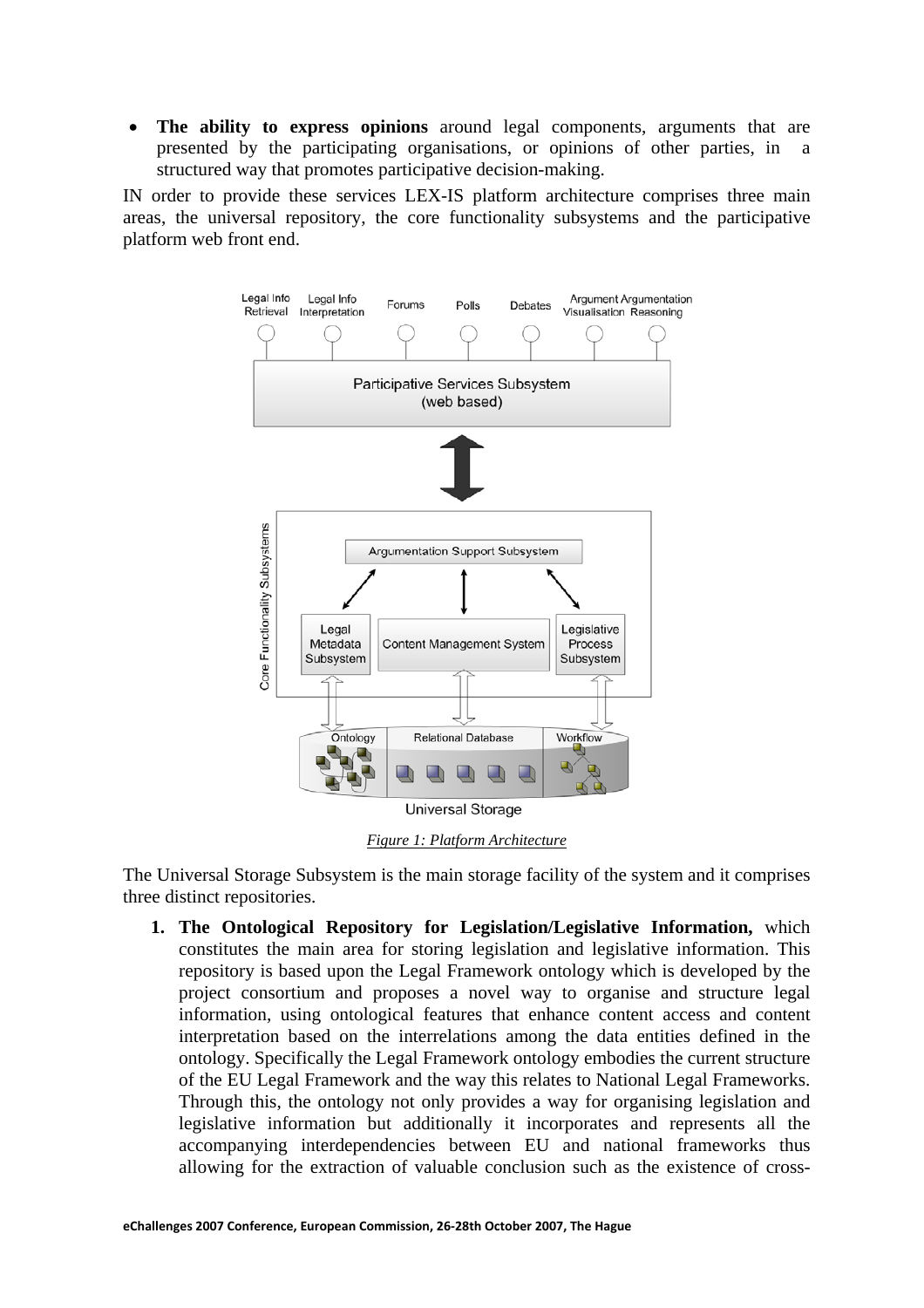• **The ability to express opinions** around legal components, arguments that are presented by the participating organisations, or opinions of other parties, in a structured way that promotes participative decision-making.

IN order to provide these services LEX-IS platform architecture comprises three main areas, the universal repository, the core functionality subsystems and the participative platform web front end.



*Figure 1: Platform Architecture* 

The Universal Storage Subsystem is the main storage facility of the system and it comprises three distinct repositories.

**1. The Ontological Repository for Legislation/Legislative Information,** which constitutes the main area for storing legislation and legislative information. This repository is based upon the Legal Framework ontology which is developed by the project consortium and proposes a novel way to organise and structure legal information, using ontological features that enhance content access and content interpretation based on the interrelations among the data entities defined in the ontology. Specifically the Legal Framework ontology embodies the current structure of the EU Legal Framework and the way this relates to National Legal Frameworks. Through this, the ontology not only provides a way for organising legislation and legislative information but additionally it incorporates and represents all the accompanying interdependencies between EU and national frameworks thus allowing for the extraction of valuable conclusion such as the existence of cross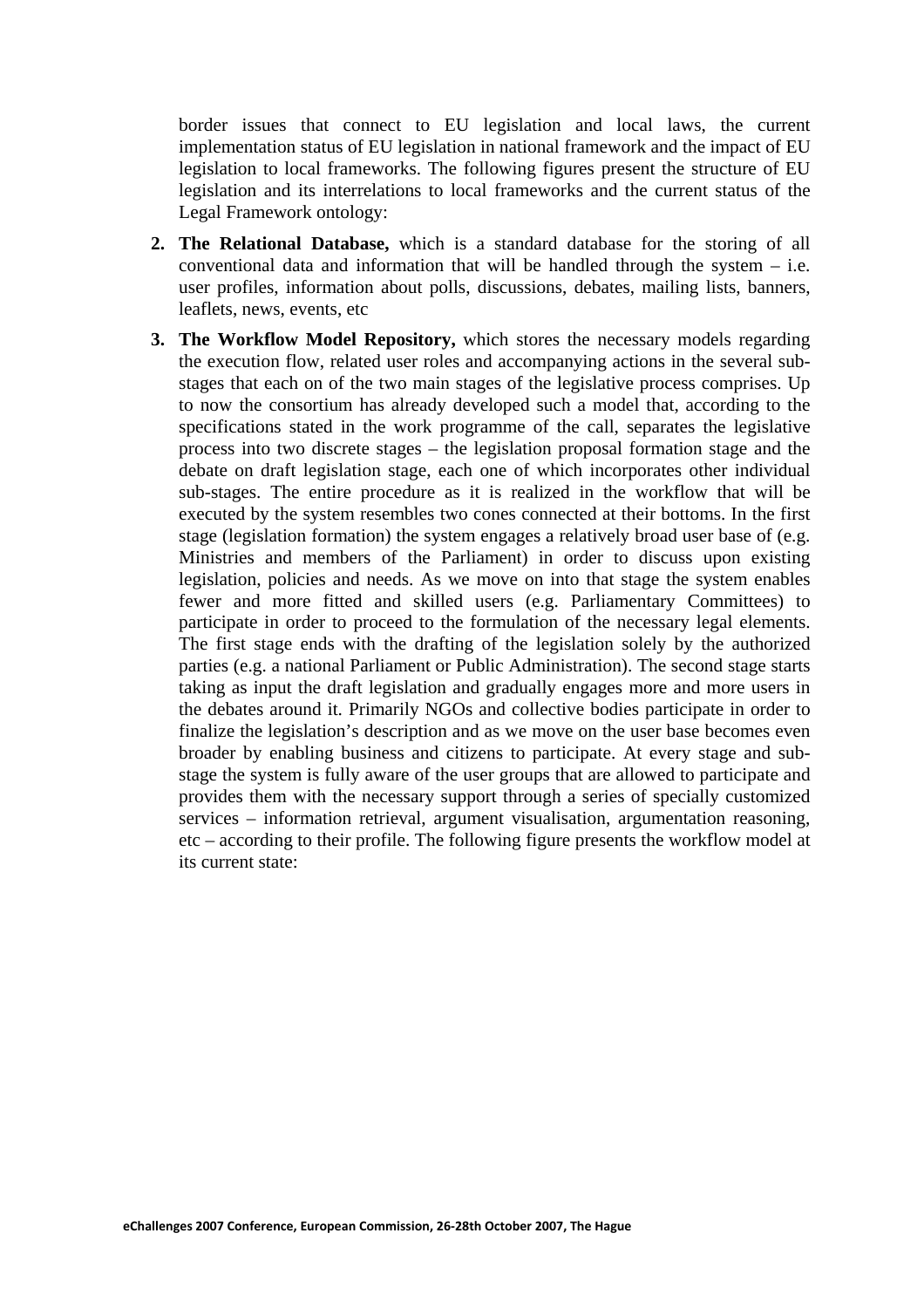border issues that connect to EU legislation and local laws, the current implementation status of EU legislation in national framework and the impact of EU legislation to local frameworks. The following figures present the structure of EU legislation and its interrelations to local frameworks and the current status of the Legal Framework ontology:

- **2. The Relational Database,** which is a standard database for the storing of all conventional data and information that will be handled through the system – i.e. user profiles, information about polls, discussions, debates, mailing lists, banners, leaflets, news, events, etc
- **3. The Workflow Model Repository,** which stores the necessary models regarding the execution flow, related user roles and accompanying actions in the several substages that each on of the two main stages of the legislative process comprises. Up to now the consortium has already developed such a model that, according to the specifications stated in the work programme of the call, separates the legislative process into two discrete stages – the legislation proposal formation stage and the debate on draft legislation stage, each one of which incorporates other individual sub-stages. The entire procedure as it is realized in the workflow that will be executed by the system resembles two cones connected at their bottoms. In the first stage (legislation formation) the system engages a relatively broad user base of (e.g. Ministries and members of the Parliament) in order to discuss upon existing legislation, policies and needs. As we move on into that stage the system enables fewer and more fitted and skilled users (e.g. Parliamentary Committees) to participate in order to proceed to the formulation of the necessary legal elements. The first stage ends with the drafting of the legislation solely by the authorized parties (e.g. a national Parliament or Public Administration). The second stage starts taking as input the draft legislation and gradually engages more and more users in the debates around it. Primarily NGOs and collective bodies participate in order to finalize the legislation's description and as we move on the user base becomes even broader by enabling business and citizens to participate. At every stage and substage the system is fully aware of the user groups that are allowed to participate and provides them with the necessary support through a series of specially customized services – information retrieval, argument visualisation, argumentation reasoning, etc – according to their profile. The following figure presents the workflow model at its current state: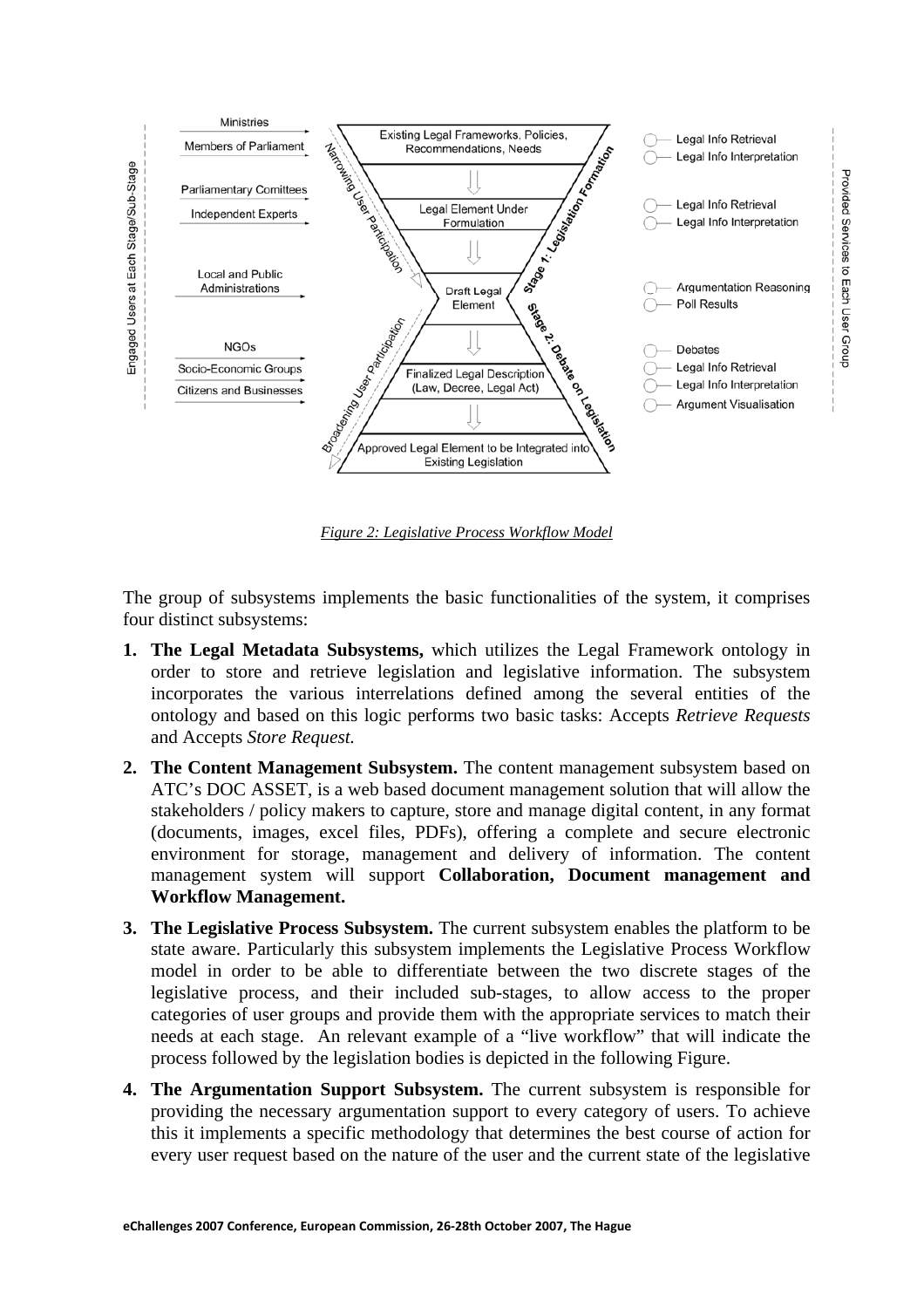

*Figure 2: Legislative Process Workflow Model*

The group of subsystems implements the basic functionalities of the system, it comprises four distinct subsystems:

- **1. The Legal Metadata Subsystems,** which utilizes the Legal Framework ontology in order to store and retrieve legislation and legislative information. The subsystem incorporates the various interrelations defined among the several entities of the ontology and based on this logic performs two basic tasks: Accepts *Retrieve Requests* and Accepts *Store Request.*
- **2. The Content Management Subsystem.** The content management subsystem based on ATC's DOC ASSET, is a web based document management solution that will allow the stakeholders / policy makers to capture, store and manage digital content, in any format (documents, images, excel files, PDFs), offering a complete and secure electronic environment for storage, management and delivery of information. The content management system will support **Collaboration, Document management and Workflow Management.**
- **3. The Legislative Process Subsystem.** The current subsystem enables the platform to be state aware. Particularly this subsystem implements the Legislative Process Workflow model in order to be able to differentiate between the two discrete stages of the legislative process, and their included sub-stages, to allow access to the proper categories of user groups and provide them with the appropriate services to match their needs at each stage. An relevant example of a "live workflow" that will indicate the process followed by the legislation bodies is depicted in the following Figure.
- **4. The Argumentation Support Subsystem.** The current subsystem is responsible for providing the necessary argumentation support to every category of users. To achieve this it implements a specific methodology that determines the best course of action for every user request based on the nature of the user and the current state of the legislative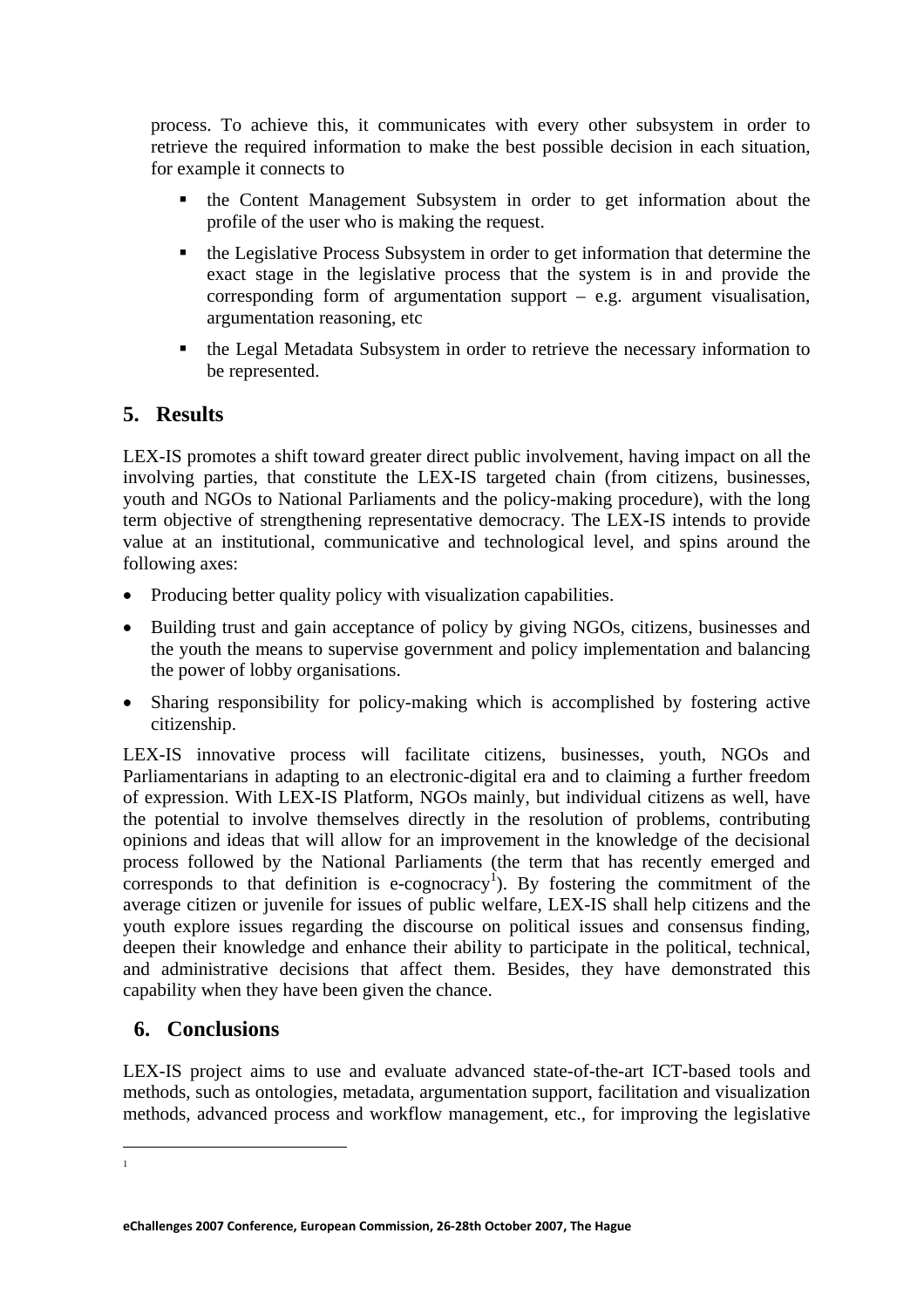process. To achieve this, it communicates with every other subsystem in order to retrieve the required information to make the best possible decision in each situation, for example it connects to

- the Content Management Subsystem in order to get information about the profile of the user who is making the request.
- the Legislative Process Subsystem in order to get information that determine the exact stage in the legislative process that the system is in and provide the corresponding form of argumentation support – e.g. argument visualisation, argumentation reasoning, etc
- the Legal Metadata Subsystem in order to retrieve the necessary information to be represented.

## **5. Results**

LEX-IS promotes a shift toward greater direct public involvement, having impact on all the involving parties, that constitute the LEX-IS targeted chain (from citizens, businesses, youth and NGOs to National Parliaments and the policy-making procedure), with the long term objective of strengthening representative democracy. The LEX-IS intends to provide value at an institutional, communicative and technological level, and spins around the following axes:

- Producing better quality policy with visualization capabilities.
- Building trust and gain acceptance of policy by giving NGOs, citizens, businesses and the youth the means to supervise government and policy implementation and balancing the power of lobby organisations.
- Sharing responsibility for policy-making which is accomplished by fostering active citizenship.

LEX-IS innovative process will facilitate citizens, businesses, youth, NGOs and Parliamentarians in adapting to an electronic-digital era and to claiming a further freedom of expression. With LEX-IS Platform, NGOs mainly, but individual citizens as well, have the potential to involve themselves directly in the resolution of problems, contributing opinions and ideas that will allow for an improvement in the knowledge of the decisional process followed by the National Parliaments (the term that has recently emerged and corresponds to that definition is e-cognocracy<sup>1</sup>). By fostering the commitment of the average citizen or juvenile for issues of public welfare, LEX-IS shall help citizens and the youth explore issues regarding the discourse on political issues and consensus finding, deepen their knowledge and enhance their ability to participate in the political, technical, and administrative decisions that affect them. Besides, they have demonstrated this capability when they have been given the chance.

### **6. Conclusions**

LEX-IS project aims to use and evaluate advanced state-of-the-art ICT-based tools and methods, such as ontologies, metadata, argumentation support, facilitation and visualization methods, advanced process and workflow management, etc., for improving the legislative

 $\overline{a}$ 1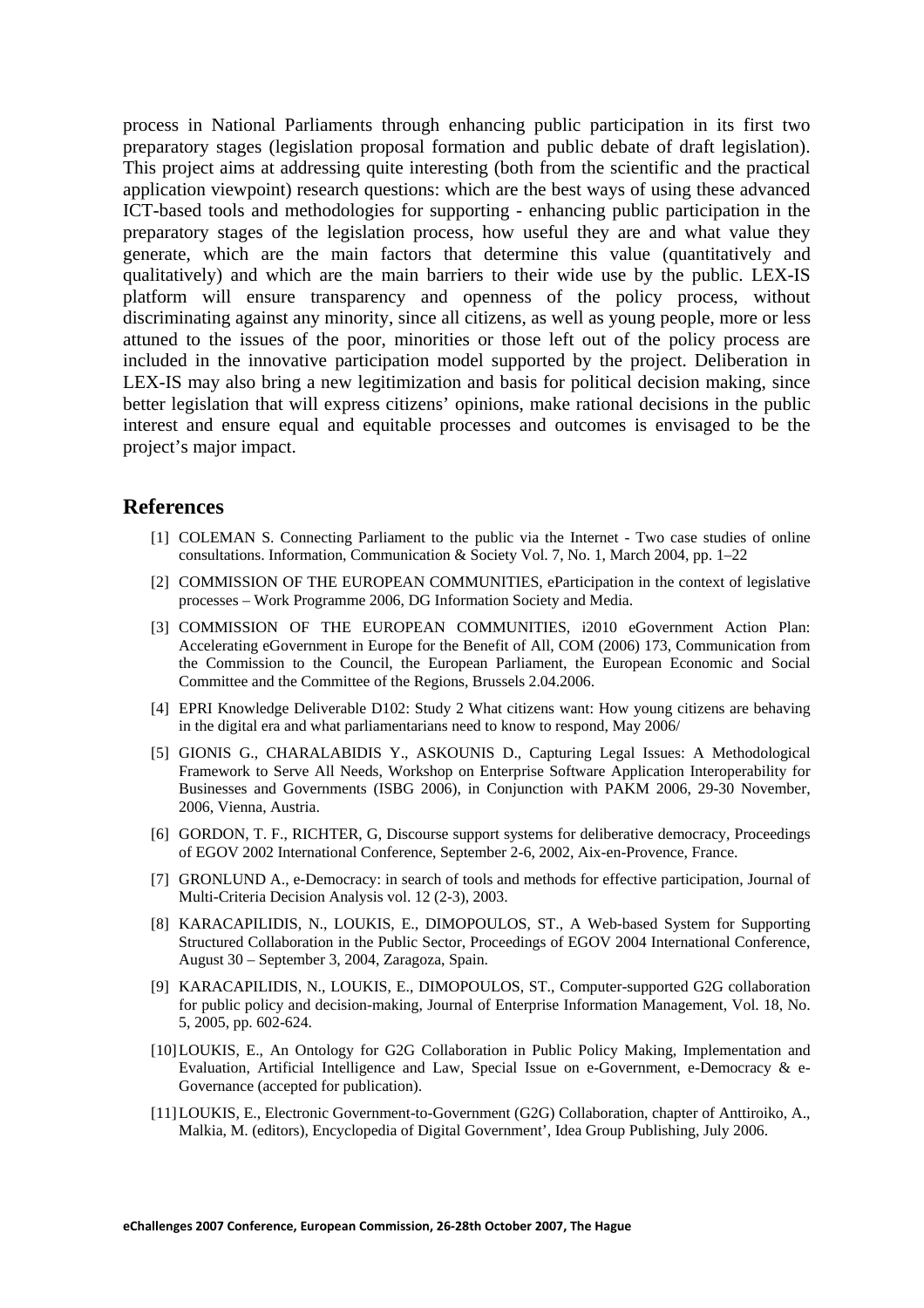process in National Parliaments through enhancing public participation in its first two preparatory stages (legislation proposal formation and public debate of draft legislation). This project aims at addressing quite interesting (both from the scientific and the practical application viewpoint) research questions: which are the best ways of using these advanced ICT-based tools and methodologies for supporting - enhancing public participation in the preparatory stages of the legislation process, how useful they are and what value they generate, which are the main factors that determine this value (quantitatively and qualitatively) and which are the main barriers to their wide use by the public. LEX-IS platform will ensure transparency and openness of the policy process, without discriminating against any minority, since all citizens, as well as young people, more or less attuned to the issues of the poor, minorities or those left out of the policy process are included in the innovative participation model supported by the project. Deliberation in LEX-IS may also bring a new legitimization and basis for political decision making, since better legislation that will express citizens' opinions, make rational decisions in the public interest and ensure equal and equitable processes and outcomes is envisaged to be the project's major impact.

#### **References**

- [1] COLEMAN S. Connecting Parliament to the public via the Internet Two case studies of online consultations. Information, Communication & Society Vol. 7, No. 1, March 2004, pp. 1–22
- [2] COMMISSION OF THE EUROPEAN COMMUNITIES, eParticipation in the context of legislative processes – Work Programme 2006, DG Information Society and Media.
- [3] COMMISSION OF THE EUROPEAN COMMUNITIES, i2010 eGovernment Action Plan: Accelerating eGovernment in Europe for the Benefit of All, COM (2006) 173, Communication from the Commission to the Council, the European Parliament, the European Economic and Social Committee and the Committee of the Regions, Brussels 2.04.2006.
- [4] EPRI Knowledge Deliverable D102: Study 2 What citizens want: How young citizens are behaving in the digital era and what parliamentarians need to know to respond, May 2006/
- [5] GIONIS G., CHARALABIDIS Y., ASKOUNIS D., Capturing Legal Issues: A Methodological Framework to Serve All Needs, Workshop on Enterprise Software Application Interoperability for Businesses and Governments (ISBG 2006), in Conjunction with PAKM 2006, 29-30 November, 2006, Vienna, Austria.
- [6] GORDON, T. F., RICHTER, G, Discourse support systems for deliberative democracy, Proceedings of EGOV 2002 International Conference, September 2-6, 2002, Aix-en-Provence, France.
- [7] GRONLUND A., e-Democracy: in search of tools and methods for effective participation, Journal of Multi-Criteria Decision Analysis vol. 12 (2-3), 2003.
- [8] KARACAPILIDIS, N., LOUKIS, E., DIMOPOULOS, ST., A Web-based System for Supporting Structured Collaboration in the Public Sector, Proceedings of EGOV 2004 International Conference, August 30 – September 3, 2004, Zaragoza, Spain.
- [9] KARACAPILIDIS, N., LOUKIS, E., DIMOPOULOS, ST., Computer-supported G2G collaboration for public policy and decision-making, Journal of Enterprise Information Management, Vol. 18, No. 5, 2005, pp. 602-624.
- [10]LOUKIS, E., An Ontology for G2G Collaboration in Public Policy Making, Implementation and Evaluation, Artificial Intelligence and Law, Special Issue on e-Government, e-Democracy & e-Governance (accepted for publication).
- [11]LOUKIS, E., Electronic Government-to-Government (G2G) Collaboration, chapter of Anttiroiko, A., Malkia, M. (editors), Encyclopedia of Digital Government', Idea Group Publishing, July 2006.